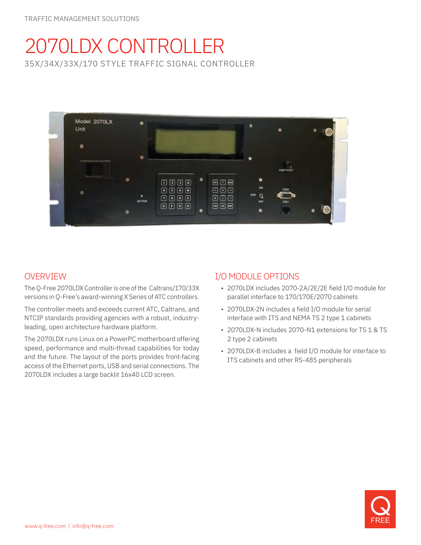# 2070LDX CONTROLLER 35X/34X/33X/170 STYLE TRAFFIC SIGNAL CONTROLLER



# OVERVIEW

The Q-Free 2070LDX Controller is one of the Caltrans/170/33X versions in Q-Free's award-winning X Series of ATC controllers.

The controller meets and exceeds current ATC, Caltrans, and NTCIP standards providing agencies with a robust, industryleading, open architecture hardware platform.

The 2070LDX runs Linux on a PowerPC motherboard offering speed, performance and multi-thread capabilities for today and the future. The layout of the ports provides front-facing access of the Ethernet ports, USB and serial connections. The 2070LDX includes a large backlit 16x40 LCD screen.

## I/O MODULE OPTIONS

- 2070LDX includes 2070-2A/2E/2E field I/O module for parallel interface to 170/170E/2070 cabinets
- 2070LDX-2N includes a field I/O module for serial interface with ITS and NEMA TS 2 type 1 cabinets
- 2070LDX-N includes 2070-N1 extensions for TS 1 & TS 2 type 2 cabinets
- 2070LDX-B includes a field I/O module for interface to ITS cabinets and other RS-485 peripherals